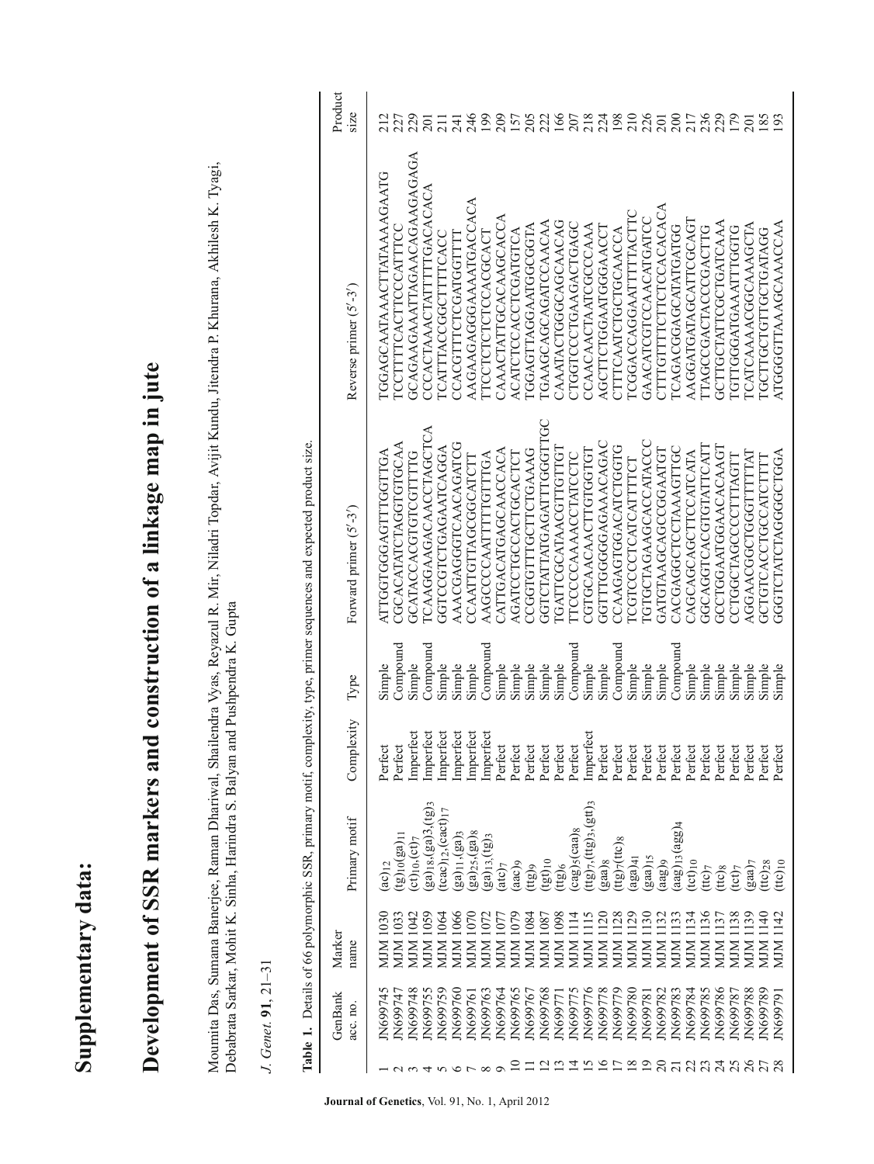Supplementary data: **Supplementary data:**

## Development of SSR markers and construction of a linkage map in jute Development of SSR markers and construction of a linkage map in jute

Moumita Das, Sumana Banerjee, Raman Dhariwal, Shailendra Vyas, Reyazul R. Mir, Niladri Topdar, Avijit Kundu, Jitendra P. Khurana, Akhilesh K. Tyagi, Moumita Das, Sumana Banerjee, Raman Dhariwal, Shailendra Vyas, Reyazul R. Mir, Niladri Topdar, Avijit Kundu, Jitendra P. Khurana, Akhilesh K. Tyagi, Debabrata Sarkar, Mohit K. Sinha, Harindra S. Balyan and Pushpendra K. Gupta Debabrata Sarkar, Mohit K. Sinha, Harindra S. Balyan and Pushpendra K. Gupta

J. Genet. 91, 21-31 *J. Genet.* **91**, 21–31

|                    |                          |                                                                 |                                                  |                                 | Table 1. Details of 66 polymorphic SSR, primary motif, complexity, type, primer sequences and expected product size. |                             |                   |
|--------------------|--------------------------|-----------------------------------------------------------------|--------------------------------------------------|---------------------------------|----------------------------------------------------------------------------------------------------------------------|-----------------------------|-------------------|
| GenBank<br>acc. no | Marker<br>name           | Primary motif                                                   | Complexity                                       | Type                            | Forward primer $(5' - 3')$                                                                                           | Reverse primer $(5' - 3')$  | Product<br>size   |
| IN699745           | 1030<br>MJM 1            | $(ac)_{12}$                                                     | Perfect                                          | Simple                          | ATTGGTGGAGTTTGGTTGA                                                                                                  | IGGAGCAATAAACTTATAAAAGAATG  |                   |
| N699747            | <b>MJM1033</b>           | $(g)_{10}(ga)_{11}$                                             | Perfect                                          | $\mathbb{C}{\rm on}$ pound      | CGCACATATCTAGTGCCAA                                                                                                  | ICCTTTTCACTTCCCATTTCC       | 227               |
| N699748            | MJM 1042                 | $ct)_{10}$ , $(ct)_{7}$                                         | Imperfect                                        | Simple                          | GCATACCACGTGTCGTTTTG                                                                                                 | GCAGAAGAAATTAGAACAGAAGAGAGA | 229               |
| IN699755           | 1059<br>MIN.             | ga) <sub>18</sub> , (ga)3, (tg) <sub>3</sub>                    | Imperfect                                        | $\mathbb{C}{\rm omp}{\rm ound}$ | ICAAGGAAGAACCTAGCTCA                                                                                                 | CCCACTAAACTATTTTGACACACA    | $\overline{201}$  |
| IN699759           | 1064<br><b>NIM</b>       | $tcac)_{12}$ , $(cact)_{17}$                                    | Imperfect<br>Imperfect<br>Imperfect<br>Imperfect | Simple                          | GGTCCGTCTGAGAATCAGGA                                                                                                 | <b>ICATTTACCGGCTTTTCACC</b> | $\overline{21}$   |
| IN699760           | <b>MJM 1066</b>          | ga) <sub>11</sub> , (ga) <sub>3</sub>                           |                                                  | Simple                          | AAACGAGGTCAACAGATCG                                                                                                  | CCACGTTTCTCGATGGTTTT        | $\frac{74}{246}$  |
| IN699761           | 1070<br>NJM 1            | ga) <sub>25</sub> , (ga) <sub>8</sub>                           |                                                  | Simple                          | CCAATTGTTAGCGGCATCTT                                                                                                 | AAGAAGAGGGAAATGACCACA       |                   |
| N699763            | 1072<br>MIM              | $(ga)_{13} (tg)_{3}$                                            |                                                  | $\mathbb{C}{\rm omp}{\rm ound}$ | AAGCCCCAATTTTGTTTGA                                                                                                  | <b>LLCCLCLCLCLCCACCCACL</b> | 199               |
| IN699764           | 1077<br>MIM              | (ate)                                                           | Perfect                                          | Simple                          | <b>ATTGACATGAGCAACCACA</b>                                                                                           | CAAACTATTGCACAAGCACCA       | 209               |
| IN699765           | MJM 1079                 | (aac)                                                           | Perfect                                          | Simple                          | AGATCCTGCCACTGCACTCT                                                                                                 | A CATCTCCA CCTCGATGTCA      |                   |
| N699767            | MJM 1084                 | (tg)                                                            | Perfect                                          | Simple                          | CCGTGTTCTTCTGAAAG                                                                                                    | TGGAGTAGGAATGGCGTA          |                   |
| N699768            | 1087<br>NIM <sub>1</sub> | $(tgt)_{10}$                                                    | Perfect                                          | Simple                          | <b>GOTODIATTATCAGETTOCO</b>                                                                                          | <b>LGAAGCAGCAGATCCAACAA</b> | 157<br>202<br>166 |
| JN69977            | <b>S601 NIN</b>          | (tg)                                                            | Perfect                                          | Simple                          | <b>IGATTCGCATAACGTTGTTGT</b>                                                                                         | CAAATACTGGGCAGCAACAG        |                   |
| IN699775           | MJM 1114                 | $\text{cag}$ ) $\text{s}$ (caa) $\text{g}$                      | Perfect                                          | Compound                        | <b>TECCCCAAAACCTATCCTC</b>                                                                                           | CTGGTCCCTGAAGACTGAGC        |                   |
| N699776            | <b>MJM1115</b>           | $ttg$ <sub>7</sub> , $(ttg)$ <sub>3</sub> , $(gt)$ <sub>3</sub> | Imperfect                                        | Simple                          | CTGCAACAACTTGTGGTGT                                                                                                  | CCAACAACTAATCGCCCAAA        |                   |
| N699778            | 1120<br>MIN              | $g$ aa $)$ <sub>8</sub>                                         | Perfect                                          | Simple                          | GGTTTGGGGAAAACAGAC                                                                                                   | AGCTTCTGGAATGGAAACCT        |                   |
| IN699779           | <b>MJM1128</b>           | $(t(g)_{7}(ttc)_{8}$                                            | Perfect                                          | Compound                        | CCAAGAGTGGACATCTGGTG                                                                                                 | CTTTCAATCTGCTGCAACCA        |                   |
| N699780            | MJM 1129                 | aga)41                                                          | Perfect                                          | Simple                          | <b>ICGTCCCCTCATCATTTCT</b>                                                                                           | ICGGACCAGGAATTTTACTTC       |                   |
| N699781            | <b>MJM1130</b>           | $(gaa)$ <sub>15</sub>                                           | Perfect                                          | Simple                          | <b>IGTGCTAGAAGCACCATACCC</b>                                                                                         | GAACATCGTCCAACATGATCC       |                   |
| N699782            | 1132<br>L NIN            | (aag) <sub>9</sub>                                              | Perfect                                          | Simple                          | GATGTAAGCCGGAATGT                                                                                                    | CTTTGTTTTCTTCTCCACACACA     |                   |
| N699783            | <b>MJM1133</b>           | $[agg]_{13}(agg)_{4}$                                           | Perfect                                          | Compound                        | CACGAGGCTCCTAAAGTTGC                                                                                                 | <b>ICAGACGGAGCATATGATGG</b> |                   |
| N699784            | MJM 1134                 | $(tct)_{10}$                                                    | Perfect                                          | Simple                          | CAGCAGCAGCTTCCATCATA                                                                                                 | AAGGATGATAGCATTCGCAGT       |                   |
| N699785            | MJM 1136                 | (tto)                                                           | Perfect                                          | Simple                          | GCAGGTCACGTGTATTCATT                                                                                                 | ITAGCCGA CTACCGA CTTG       |                   |
| N699786            | 1137<br>MIM              | $(ttc)_8$                                                       | Perfect                                          | Simple                          | GCCTGGAATGAACACAAGT                                                                                                  | GCTTGCTATTCGCTGATCAAA       |                   |
| N699787            | <b>MJM1138</b>           | tct)7                                                           | Perfect                                          | Simple                          | CCTGGCTAGCCCCTTTAGTT                                                                                                 | ICTTGGGATGAATTTGGTG         |                   |
| N699788            | <b>MJM1139</b>           | $(gaa)$ 7                                                       | Perfect                                          | Simple                          | AGGAACGCTGGTTTTTAT                                                                                                   | <b>LCATCAAAACGGCAAAGCTA</b> | 201               |
| N699789            | <b>MJM1140</b>           | $(ttc)_{10}$<br>$(ttc)_{10}$                                    | Perfect                                          | Simple                          | GCTGTCACCTGCATCTTTT                                                                                                  | <b>LGCLLGCLLGCLGVATSC</b>   |                   |
| IN699791           | 1142<br><b>MIM</b>       |                                                                 | Perfect                                          | Simple                          | GGGLCLALCLACGCLGGV                                                                                                   | ATGGGGTTAAAGCAAACCAA        | 193               |